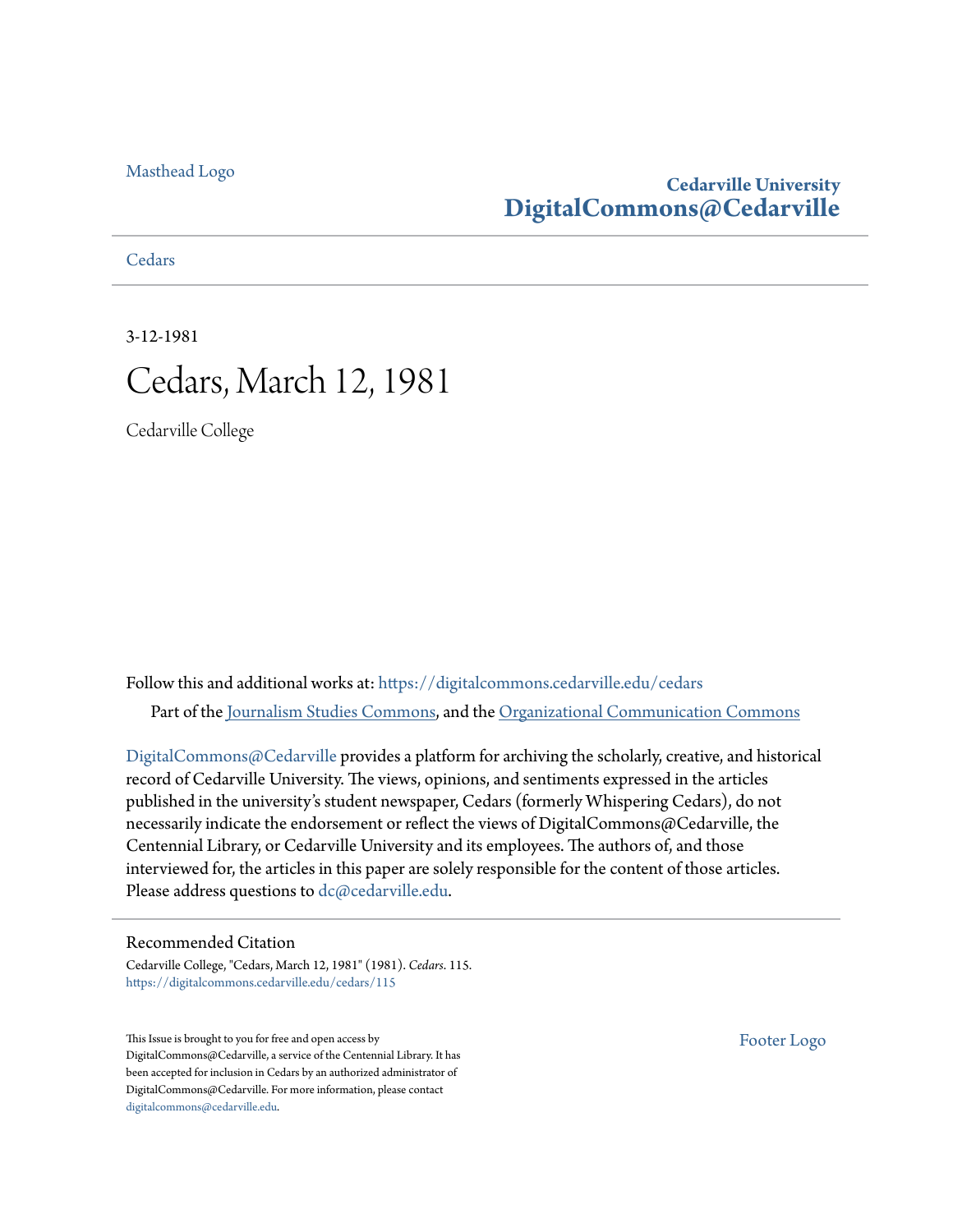### [Masthead Logo](http://www.cedarville.edu/?utm_source=digitalcommons.cedarville.edu%2Fcedars%2F115&utm_medium=PDF&utm_campaign=PDFCoverPages)

### **Cedarville University [DigitalCommons@Cedarville](https://digitalcommons.cedarville.edu?utm_source=digitalcommons.cedarville.edu%2Fcedars%2F115&utm_medium=PDF&utm_campaign=PDFCoverPages)**

**[Cedars](https://digitalcommons.cedarville.edu/cedars?utm_source=digitalcommons.cedarville.edu%2Fcedars%2F115&utm_medium=PDF&utm_campaign=PDFCoverPages)** 

3-12-1981 Cedars, March 12, 1981

Cedarville College

Follow this and additional works at: [https://digitalcommons.cedarville.edu/cedars](https://digitalcommons.cedarville.edu/cedars?utm_source=digitalcommons.cedarville.edu%2Fcedars%2F115&utm_medium=PDF&utm_campaign=PDFCoverPages) Part of the [Journalism Studies Commons](http://network.bepress.com/hgg/discipline/333?utm_source=digitalcommons.cedarville.edu%2Fcedars%2F115&utm_medium=PDF&utm_campaign=PDFCoverPages), and the [Organizational Communication Commons](http://network.bepress.com/hgg/discipline/335?utm_source=digitalcommons.cedarville.edu%2Fcedars%2F115&utm_medium=PDF&utm_campaign=PDFCoverPages)

[DigitalCommons@Cedarville](http://digitalcommons.cedarville.edu/) provides a platform for archiving the scholarly, creative, and historical record of Cedarville University. The views, opinions, and sentiments expressed in the articles published in the university's student newspaper, Cedars (formerly Whispering Cedars), do not necessarily indicate the endorsement or reflect the views of DigitalCommons@Cedarville, the Centennial Library, or Cedarville University and its employees. The authors of, and those interviewed for, the articles in this paper are solely responsible for the content of those articles. Please address questions to [dc@cedarville.edu.](mailto:dc@cedarville.edu)

### Recommended Citation

Cedarville College, "Cedars, March 12, 1981" (1981). *Cedars*. 115. [https://digitalcommons.cedarville.edu/cedars/115](https://digitalcommons.cedarville.edu/cedars/115?utm_source=digitalcommons.cedarville.edu%2Fcedars%2F115&utm_medium=PDF&utm_campaign=PDFCoverPages)

This Issue is brought to you for free and open access by DigitalCommons@Cedarville, a service of the Centennial Library. It has been accepted for inclusion in Cedars by an authorized administrator of DigitalCommons@Cedarville. For more information, please contact [digitalcommons@cedarville.edu](mailto:digitalcommons@cedarville.edu).

[Footer Logo](http://www.cedarville.edu/Academics/Library.aspx?utm_source=digitalcommons.cedarville.edu%2Fcedars%2F115&utm_medium=PDF&utm_campaign=PDFCoverPages)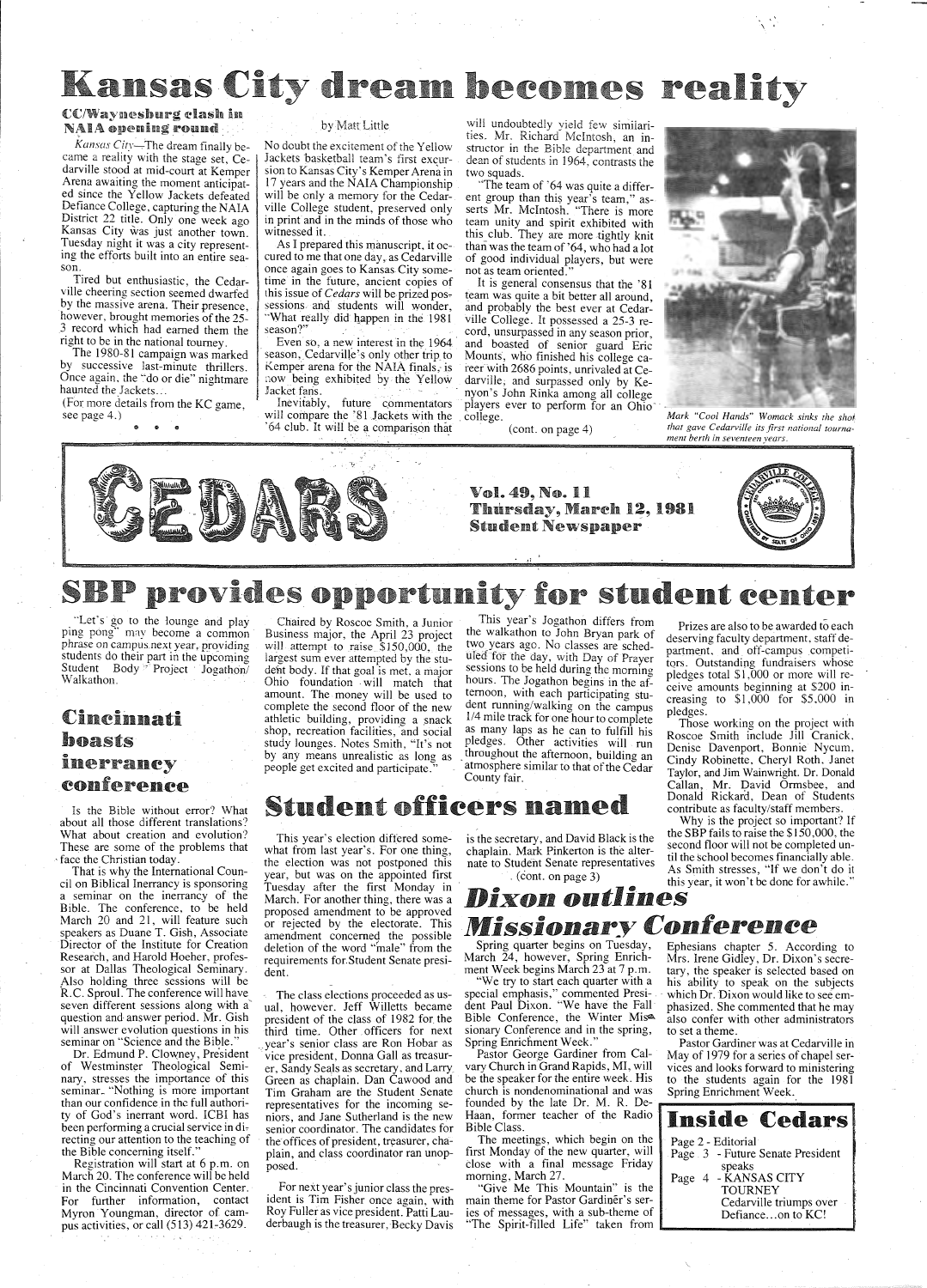# Kansas City dream becomes reality

### CC/Wayneshurg clash in NAIA opening round

*Kansas City*—The dream finally became a reality with the stage set, Cedarville stood at mid-court at Kemper Arena awaiting the moment anticipated since the Yellow Jackets defeated Defiance College, capturing the NAIA District 22 title. Only one week ago Kansas City was just another town. Tuesday night it was a city representing the efforts built into an entire season.

The 1980-81 campaign was marked by successive last-minute thrillers. Once again, the "do or die" nightmare haunted the Jackets...

(For more details from the KC game, see page 4.)

Tired but enthusiastic, the Cedarville cheering section seemed dwarfed by the massive arena. Their presence, however, brought memories of the 25- 3 record which had earned them the right to be in the national tourney.

No doubt the excitement of the Yellow Jackets basketball team's first excursion to Kansas City's Kemper Arena in 17 years and the NAIA Championship will be only a memory for the Cedarville College student, preserved only in print and in the minds of those who witnessed it.

Inevitably, future commentators will compare the '81 Jackets with the '64 club. It will be a comparison tha\_t

#### by Matt Little

will undoubtedly yield few similarities. Mr. Richard Mcintosh, an instructor in the Bible department and dean of students in 1964, contrasts the two squads.

As I prepared this manuscript, it occured to me that one day, as Cedarville once again goes to Kansas City sometime in the future, ancient copies of this issue of *Cedars* will be prized pos~ sessions. and students will wonder, 'What really did happen in the 1981 season?"

Even so, a new interest in the 1964 season, Cedarville's only other trip to Kemper arena for the NAIA finals, is now being exhibited by the Yellow Jacket fans.

"Let's go to the lounge and play ping pong" may become a common phrase on campus next year, providing students do their part in the upcoming Student Body <sup>\*</sup> Project Jogathon/ Walkathon.

Is the Bible without error? What about all those different translations? What about creation and evolution? These are some of the problems that face the Christian today.

"The team of '64 was quite a different group than this year's team," asserts Mr. Mcintosh. "There is more team unity and spirit exhibited with this club. They are more tightly knit than was the team of '64, who had a lot of good individual players, but were not as team oriented."

It is general consensus that the '81 team was quite a bit better all around, and probably the best ever at Cedarville College. It possessed a 25-3 record, unsurpassed in any season prior, and boasted of senior guard Eric Mounts, who finished his college career with 2686 points, unrivaled at Cedarville; and surpassed only by Kenyon's John Rinka among all college players ever to perform for an Ohio<sup>-</sup> . college.

( cont. on page 4)



 $\ddot{\phantom{1}}$ 

*Mark "Cool Hands" Womack sinks the shoi that gave Cedarville its first national tournament berth in seventeen yeqrs.* 



## SBP provides opportunity for student center

## Cincinnati boasts inerrancy eonferenee

## $\frac{1}{2}$ . (cont. on page 3)<br>(cont. on page 3) this year, it won't be done for awhile " *Dixon outlines*

*Missionary Conference Conference* Spring quarter begins on Tuesday, Ephesians chapter 5. Accord Spring quarter begins on Tuesday, Ephesians chapter 5. According to March 24, however, Spring Enrich- Mrs. Irene Gidley, Dr. Dixon's secre-

Mrs. Irene Gidley, Dr. Dixon's secrement Week begins March 23 at 7 p.m. tary, the speaker is selected based on "We try to start each quarter with a his ability to speak on the subjects his ability to speak on the subjects special emphasis," commented Presi-<br>dent Paul Dixon. "We have the Fall phasized. She commented that he may dent Paul Dixon. "We have the Fall phasized. She commented that he may pring Enrichment Week." Pastor Gardiner was at Cedarville in<br>Pastor George Gardiner from Cal- May of 1979 for a series of chapel ser-May of 1979 for a series of chapel serto the students again for the 1981<br>Spring Enrichment Week.

## Student officers named

That is why the International Council on Biblical Inerrancy is sponsoring a seminar on the inerrancy of the Bible. The conference, to be held March 20 and 21, will feature such speakers as Duane T. Gish, Associate Director of the Institute for Creation Research, and Harold Hoeher, professor at Dallas Theological Seminary.<br>Also holding three sessions will be R.C. Sproul. The conference will have seven different sessions along with a· question and answer period. Mr. Gish will answer evolution questions in his seminar on "Science and the Bible." Dr. Edmund P. Clowney, President of Westminster Theological Seminary, stresses the importance of this seminar\_ "Nothing is more important than our confidence in the full authority of God's inerrant word. !CBI has been performing a crucial service in directing our attention to the teaching of the Bible concerning itself." Registration will start at 6 p.m. on March 20. The conference will be held in the Cincinnati Convention Center. For further information, contact Myron Youngman, director of campus activities, or call (513) 421-3629.

the executive couple

 $\mathcal{F}^{\mathcal{A}}_{\mathcal{A}}$  ,  $\mathcal{F}^{\mathcal{A}}_{\mathcal{A}}$  ,  $\mathcal{F}^{\mathcal{A}}_{\mathcal{A}}$  ,  $\mathcal{F}^{\mathcal{A}}_{\mathcal{A}}$ 

vary Church in Grand Rapids, MI, will vices and looks forward to ministering<br>be the speaker for the entire week. His to the students again for the 1981 church is nondenominational and was founded by the late Dr. M. R. De-Haan, former teacher of the Radio Bible Class.

Chaired by Roscoe Smith, a Junior Business major, the April 23 project will attempt to raise \$150,000, the largest sum ever attempted by the student body. If that goal is met, a major Ohio foundation . will match that amount. The money will be used to complete the second floor of the new athletic building, providing a snack shop, recreation facilities, and social study lounges. Notes Smith, "It's not by any means unrealistic as long as people get excited and participate."

This year's Jogathon differs from the walkathon to John Bryan park of two years ago. No classes are scheduled for the day, with Day of Prayer sessions to be held during the morning hours. The Jogathon begins in the afternoon, with each participating student running/walking on the campus 1/4 mile track for one hour to complete as many laps as he can to fulfill his pledges. Other activities will run . throughout the afternoon, building an atmosphere similar to that of the Cedar County fair.

Prizes are also to be awarded to each deserving faculty department, staff department, and off-campus competitors. Outstanding fundraisers whose pledges total \$1,000 or more will receive amounts beginning at \$200 increasing to  $$1,000$  for  $$5,000$  in pledges.

Those working on the project with Roscoe Smith include Jill Cranick, Denise Davenport, Bonnie Nycum, Cindy Robinette. Cheryl Roth, Janet Taylor, and Jim Wainwright. Dr. Donald Callan, Mr. David Ormsbee, and Donald Rickard, Dean of Students contribute as faculty/staff members.

Why is the project so important? If<br>the SBP fails to raise the \$150,000, the is the secretary, and David Black is the interest rails to raise the \$150,000, the chaplain. Mark Pinkerton is the alter-<br> $\frac{\text{second}}{\text{at this head}}$  the second floor will not be completed unchaplam. Mark Pmkerton is the alter-<br>nate to Student Senate representatives til the school becomes financially able. this year, it won't be done for awhile."

This year's election differed somewhat from last year's. For one thing, the election was not postponed this year, but was on the appointed first Tuesday after the first Monday in March. For another thing, there was a proposed amendment to be approved or rejected by the electorate. This amendment concerned the possible deletion of the word "male'' from the requirements for.Student Senate president.

The class elections proceeded as usual, however. Jeff Willetts became president of the class of 1982 for the third time.. Other . officers for next .year's senior class are Ron Hobar as vice president, Donna Gall as treasurer, Sandy Seals as secretary, and Larry, Green as chaplain. Dan Cawood and Tim Graham are the Student Senate representatives for the incoming seniors, and Jane Sutherland is the new senior coordinator. The candidates for the offices of president, treasurer, chaplain, and class coordinator ran unopposed.

For next year's junior class the president is Tim Fisher once again, with Roy Fuller as vice president. Patti Lauderbaugh is the treasurer, Becky Davis

Bible Conference, the Winter Mis<sup>&</sup> also confer with other administrators sionary Conference and in the spring, to set a theme.<br>Spring Enrichment Week." Pastor Gardi

The meetings, which begin on the first Monday of the new quarter, will close with a final message Friday morning, March 27.

'Give Me This Mountain" is the main theme for Pastor Gardiner's series of messages, with a sub-theme of  $\Box$  Defiance...on to KC!

Inside Cedars Page 2 - Editorial Page 3 - Future Senate President speaks Page 4 - KANSAS CITY TOURNEY Cedarville triumps over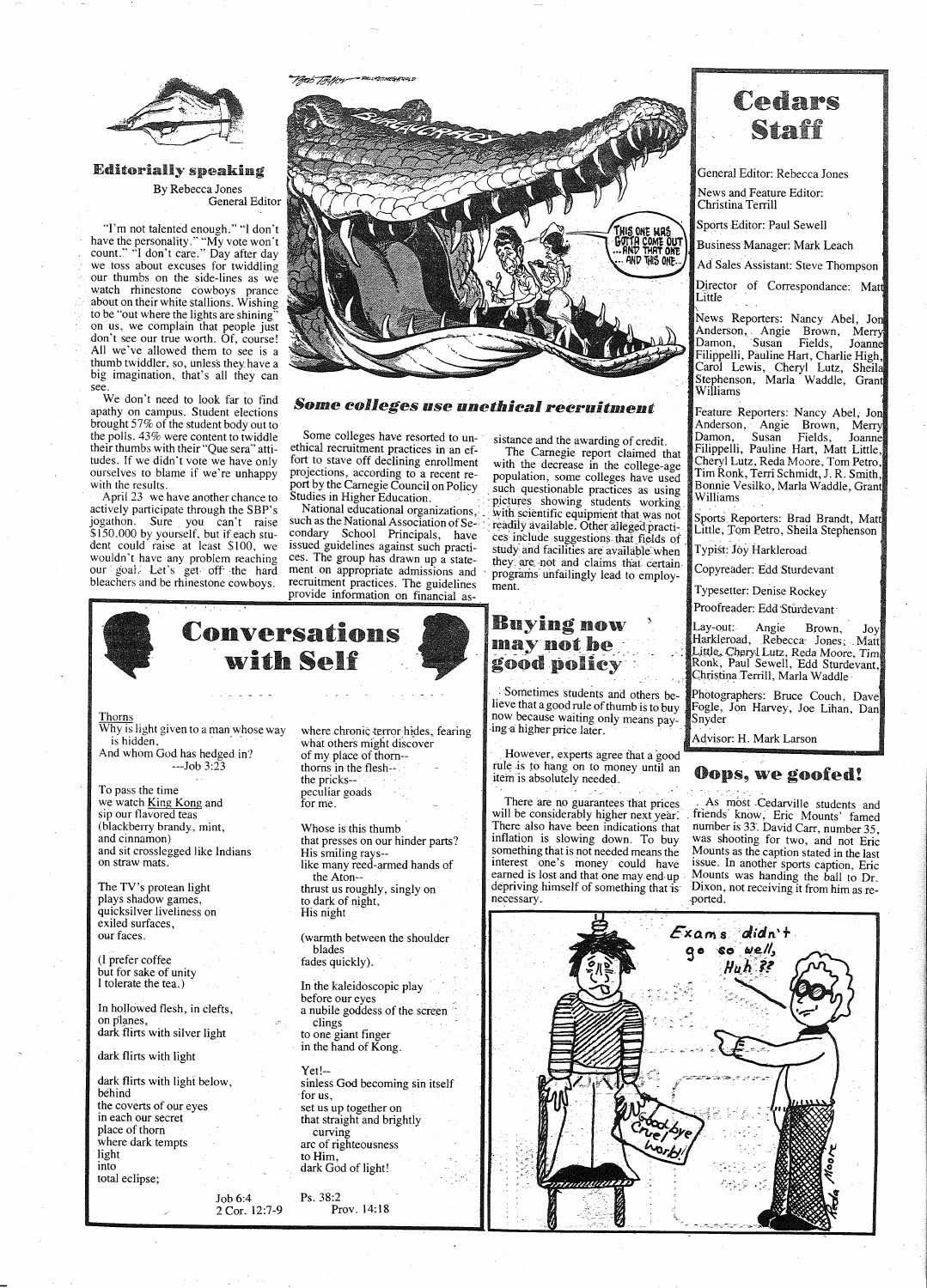

**Editorially speaking** By Rebecca Jones

General Editor

"I'm not talented enough." "I don't have the personality." "My vote won't<br>count." "I don't care." Day after day we toss about excuses for twiddling our thumbs on the side-lines as we watch rhinestone cowboys prance about on their white stallions. Wishing to be "out where the lights are shining" on us, we complain that people just don't see our true worth. Of, course! All we've allowed them to see is a thumb twiddler, so, unless they have a big imagination, that's all they can see.

We don't need to look far to find apathy on campus. Student elections brought 57% of the student body out to the polls. 43% were content to twiddle their thumbs with their "Que sera" attitudes. If we didn't vote we have only ourselves to blame if we're unhappy with the results.

April 23 we have another chance to actively participate through the SBP's jogathon. Sure you can't raise \$150,000 by yourself, but if each student could raise at least \$100, we issued guidelines against such practiwouldn't have any problem reaching our goal. Let's get off the hard<br>bleachers and be rhinestone cowboys.



### Some colleges use unethical recruitment

Some colleges have resorted to unethical recruitment practices in an effort to stave off declining enrollment projections, according to a recent report by the Carnegie Council on Policy Studies in Higher Education.

National educational organizations, such as the National Association of Secondary School Principals, have ces. The group has drawn up a statement on appropriate admissions and recruitment practices. The guidelines provide information on financial assistance and the awarding of credit.

The Carnegie report claimed that with the decrease in the college-age population, some colleges have used such questionable practices as using pictures showing students working with scientific equipment that was not readily available. Other alleged practices include suggestions that fields of study and facilities are available when they are not and claims that certain programs unfailingly lead to employment.

## **Buying now** mav not be good policy

Sometimes students and others believe that a good rule of thumb is to buy now because waiting only means paying a higher price later.

However, experts agree that a good rule is to hang on to money until an item is absolutely needed.

There are no guarantees that prices. will be considerably higher next year. There also have been indications that inflation is slowing down. To buy something that is not needed means the interest one's money could have earned is lost and that one may end up depriving himself of something that is necessary.

## Cedars Staff

General Editor: Rebecca Jones

News and Feature Editor: Christina Terrill

Sports Editor: Paul Sewell

**Business Manager: Mark Leach** 

Ad Sales Assistant: Steve Thompson

Director of Correspondance: Matt Little

News Reporters: Nancy Abel, Jon Anderson, Angie Brown, Merry<br>Damon, Susan Fields, Joanne<br>Filippelli, Pauline Hart, Charlie High, Carol Lewis, Cheryl Lutz, Sheila Stephenson, Marla Waddle, Grant Williams

Feature Reporters: Nancy Abel, Jon Anderson, Angie Brown, Merry Damon, Susan Fields, Joanne Damon, Susan Fields, Joanne<br>Filippelli, Pauline Hart, Matt Little, Cheryl Lutz, Reda Moore, Tom Petro, Tim Ronk, Terri Schmidt, J. R. Smith, Bonnie Vesilko, Marla Waddle, Grant Williams

Sports Reporters: Brad Brandt, Matt Little, Tom Petro, Sheila Stephenson

Typist: Joy Harkleroad

Copyreader: Edd Sturdevant

Typesetter: Denise Rockey

Proofreader: Edd Sturdevant

Angie Lay-out:⊦ Brown, Joy Harkleroad, Rebecca Jones, Matt Little, Cheryl Lutz, Reda Moore, Tim<br>Ronk, Paul Sewell, Edd Sturdevant, Christina Terrill, Marla Waddle

Photographers: Bruce Couch, Dave Fogle, Jon Harvey, Joe Lihan, Dan Snyder

Advisor: H. Mark Larson

Exams didn't

go so well,

Huh ??

## **Oops, we goofed!**

As most Cedarville students and friends know, Eric Mounts' famed number is 33. David Carr, number 35, was shooting for two, and not Eric Mounts as the caption stated in the last issue. In another sports caption, Eric Mounts was handing the ball to Dr. Dixon, not receiving it from him as reported.



#### **Thorns**

Why is light given to a man whose way is hidden,

And whom God has hedged in?  $--Job 3:23$ 

To pass the time we watch King Kong and sip our flavored teas (blackberry brandy, mint, and cinnamon) and sit crosslegged like Indians on straw mats.

The TV's protean light plays shadow games, quicksilver liveliness on exiled surfaces, our faces.

(I prefer coffee) but for sake of unity I tolerate the tea.)

where chronic terror hides, fearing what others might discover of my place of thorn-thorns in the flesh-the pricks-peculiar goads for me.

Whose is this thumb that presses on our hinder parts? His smiling rays-like many reed-armed hands of the Aton-thrust us roughly, singly on to dark of night, His night

(warmth between the shoulder blades fades quickly).

In the kaleidoscopic play before our eyes a nubile goddess of the screen clings to one giant finger in the hand of Kong.

In hollowed flesh, in clefts, on planes. dark flirts with silver light

dark flirts with light

dark flirts with light below, béhind the coverts of our eyes in each our secret place of thorn where dark tempts light into total eclipse;

 $Yet!$ -sinless God becoming sin itself for us, set us up together on that straight and brightly curving arc of righteousness to Him, dark God of light!

Ps. 38:2 Job 6:4 Prov. 14:18 2 Cor. 12:7-9

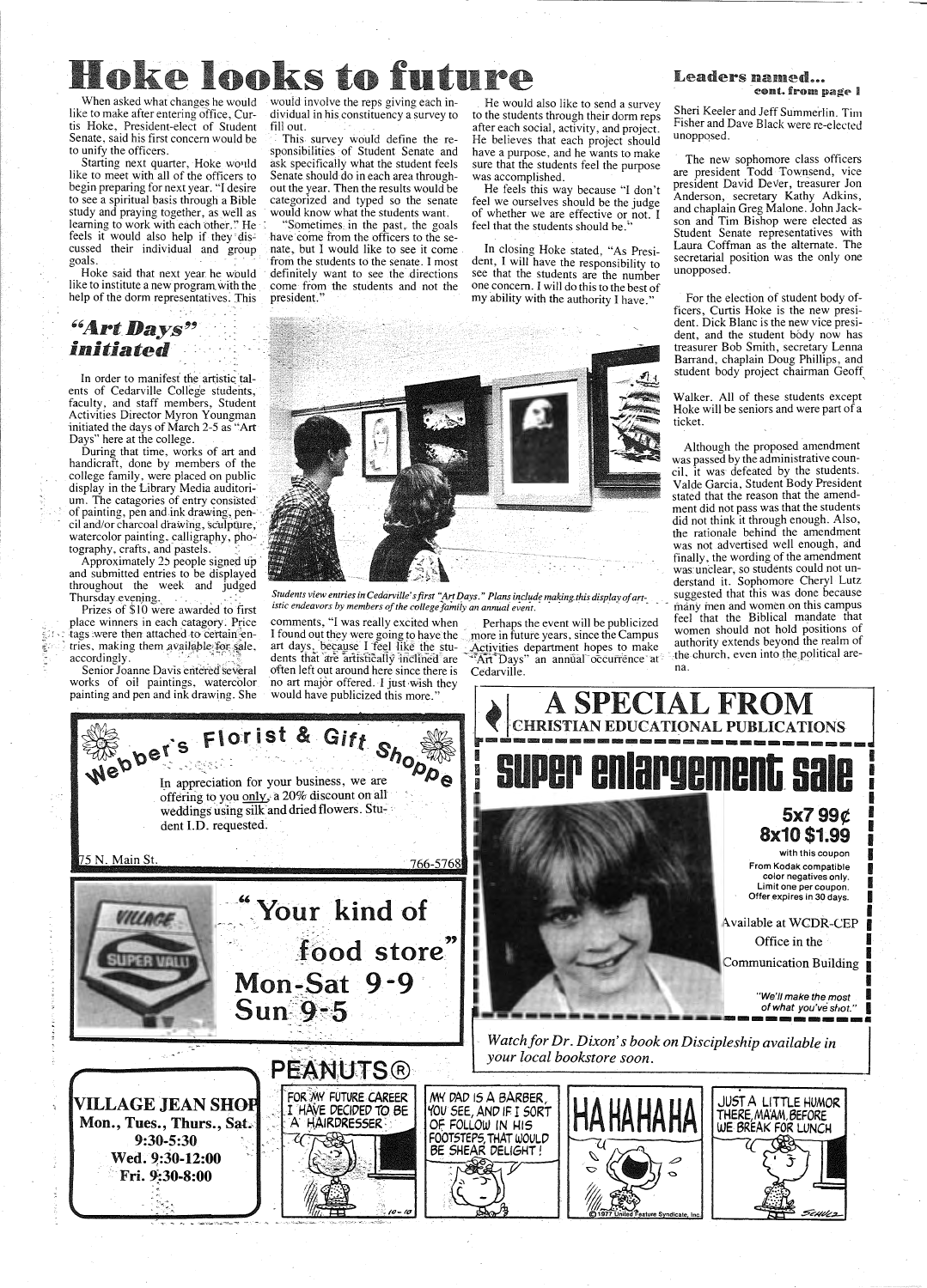# Hoke looks to fut

like to make after entering office, Curtis Hoke, President-elect of Student Senate, said his first concern would be to unify the officers.

Starting next quarter, Hoke would like to meet with all of the officers to begin preparing for next year. "I desire to see a spiritual basis through a Bible study and praying together, as well as learning to work with each other." He feels it would also help if they discussed their individual and group goals.

Hoke said that next year. he would like to institute a new program with the help of the dorm representatives. This

In order to manifest the artistic talents of Cedarville College students, faculty, and staff members, Student Activities Director Myron Youngman initiated the days of March 2-5 as "Art

place winners in each catagory. Price comments, "I was really excited when Perhaps the event will be publicized reel that the Biblical manual manual manual manual manual manual manual manual manual manual manual manual man

 $\mathbb{R}$ 

works of oil paintings, watercolor no art major offered. I just wish they painting and pen and ink drawing. She would have publicized this more."

When asked what changes he would would involve the reps giving each individual in his constituency a survey to fill out.

> This survey would define the responsibilities of Student Senate and ask specifically what the student feels Senate should do in each area throughout the year. Then the results would be categorized and typed so the senate would know what the students want.

### *''Art* Days~': *initiated*

Sometimes, in the past, the goals have come from the officers to the senate, but I would like to see it come from the students to the senate. I most definitely want to see the directions come from the students and not the president."

Sheri Keeler and Jeff Summerlin. Tim Fisher and Dave Black were re-elected unoppqsed.

He would also like to send a survey to the students through their dorm reps after each social, activity, and project. He believes that each project should have a purpose, and he wants to make sure that the students feel the purpose was accomplished.

He feels this way because "I don't feel we ourselves should be the judge of whether we are effective or not. I feel that the students should he.''

In closing Hoke stated, "As President, I will have the responsibility to see that the students are the number one concern. I will do this to the best of my ability with the authority I have."

The new sophomore class officers are president Todd Townsend, vice president David Dever, treasurer Jon Anderson, secretary Kathy Adkins, and chaplain Greg Malone. John Jackson and Tim Bishop were elected as Student Senate representatives with Laura Coffman as the alternate. The secretarial position was the only one unopposed.

For the election of student body officers, Curtis Hoke is the new president. Dick Blanc is the new vice president, and the student body now has treasurer Bob Smith, secretary Lenna Barrand, chaplain Doug Phillips, and student body project chairman Geoff,

Walker. All of these students except Hoke will be seniors and were part of <sup>a</sup> ticket.

Approximately 2.5 people sighed up<br>and submitted entries to be displayed<br>throughout the week and judged<br>Thursday.evening.<br>Thursday.evening.<br>Thursday.evening.<br>Thursday.evening.<br>Thursday.evening.<br>Thursday.evening.<br>Thursday.e



tags were then attached to certain en- I found out they were going to have the more in future years, since the Campus women snould not not positions of tries, making them available for sale, art days, because I feel like t tries, making them available for sale, art days, because I feel like the stu- Activities department hopes to make authority extends beyond the realin of accordingly. dents that are artistically inclined are water Days" an annual occurrence at the<br>Senior Joanne Davis entered several often left out around here since there is Cedarville.

### Leaders named... cont. from page I





of what you've shot.

----------· Vatch for Dr. Dixon's book on Discipleship available in<br>PEANUTS ® FOR MY FUTURE CAREER MY DAD IS A BARBER, **VILLAGE JEAN SHOP** JUST A LITTLE HUMOR **HAHAHAHA**  , I HAYE DECIDED TO. SE *'{OU* SEE, AND IF I SORT THERE, MA'AM, 6EFORE Mon., Tues., Thurs., Sat. . , , · A HAIRDRESSER: : · '. - *..* :" ' .- - OF FOLLOW IN HIS WE BREAK FOR LUNCH FOOTSTEPS, THAT WOULD BE SHEAR DELIGHT ! 9:30-5:30 D Wed. 9:30-12:00  $\overline{C}$  $\text{Fri. } 9.30 - 8.00$ ·.~ \_,. ~ . ScHbk 2 dicate Inc.